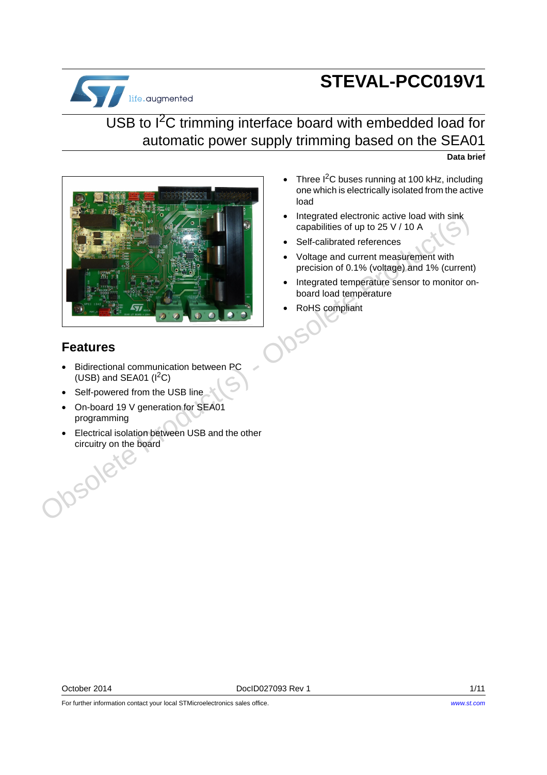# **STEVAL-PCC019V1**



### USB to I<sup>2</sup>C trimming interface board with embedded load for automatic power supply trimming based on the SEA01

**Data brief**



- Three  $I<sup>2</sup>C$  buses running at 100 kHz, including one which is electrically isolated from the active load
- Integrated electronic active load with sink capabilities of up to 25 V / 10 A
- Self-calibrated references
- Voltage and current measurement with precision of 0.1% (voltage) and 1% (current)
- Integrated temperature sensor to monitor onboard load temperature
- RoHS compliant

#### **Features**

- Bidirectional communication between PC (USB) and SEA01  $(I^2C)$
- Self-powered from the USB line
- On-board 19 V generation for SEA01 programming
- Electrical isolation between USB and the other circuitry on the board<br>
SOC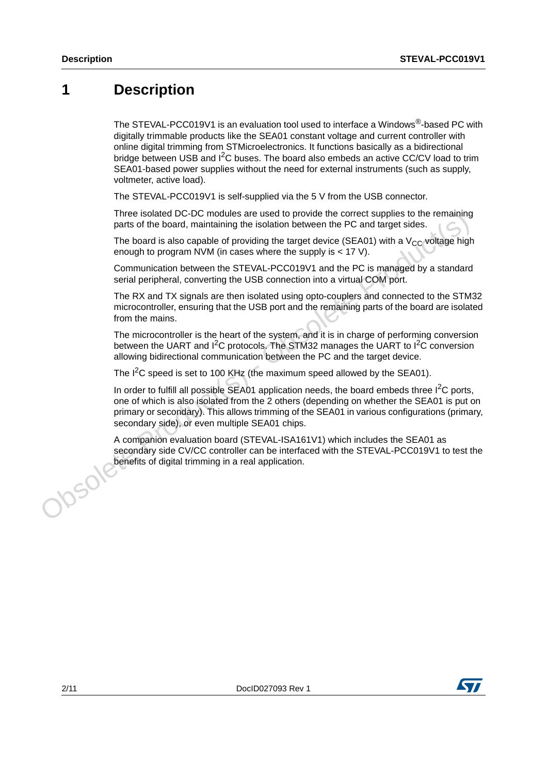### **1 Description**

The STEVAL-PCC019V1 is an evaluation tool used to interface a Windows®-based PC with digitally trimmable products like the SEA01 constant voltage and current controller with online digital trimming from STMicroelectronics. It functions basically as a bidirectional bridge between USB and  $I<sup>2</sup>C$  buses. The board also embeds an active CC/CV load to trim SEA01-based power supplies without the need for external instruments (such as supply, voltmeter, active load).

The STEVAL-PCC019V1 is self-supplied via the 5 V from the USB connector.

Three isolated DC-DC modules are used to provide the correct supplies to the remaining parts of the board, maintaining the isolation between the PC and target sides.

The board is also capable of providing the target device (SEA01) with a  $V_{CC}$  voltage high enough to program NVM (in cases where the supply is < 17 V).

Communication between the STEVAL-PCC019V1 and the PC is managed by a standard serial peripheral, converting the USB connection into a virtual COM port.

The RX and TX signals are then isolated using opto-couplers and connected to the STM32 microcontroller, ensuring that the USB port and the remaining parts of the board are isolated from the mains.

The microcontroller is the heart of the system, and it is in charge of performing conversion between the UART and  $I^2C$  protocols. The STM32 manages the UART to  $I^2C$  conversion allowing bidirectional communication between the PC and the target device.

The I<sup>2</sup>C speed is set to 100 KHz (the maximum speed allowed by the SEA01).

In order to fulfill all possible SEA01 application needs, the board embeds three  $I^2C$  ports, one of which is also isolated from the 2 others (depending on whether the SEA01 is put on primary or secondary). This allows trimming of the SEA01 in various configurations (primary, secondary side), or even multiple SEA01 chips. The is soleted UC-DC modules are used to provide the correct supplies to the remaining parts of the board, maintaining the isolation between the PC and target sides.<br>The board is also capable of providing the larget evice

A companion evaluation board (STEVAL-ISA161V1) which includes the SEA01 as secondary side CV/CC controller can be interfaced with the STEVAL-PCC019V1 to test the<br>benefits of digital trimming in a real application. benefits of digital trimming in a real application.

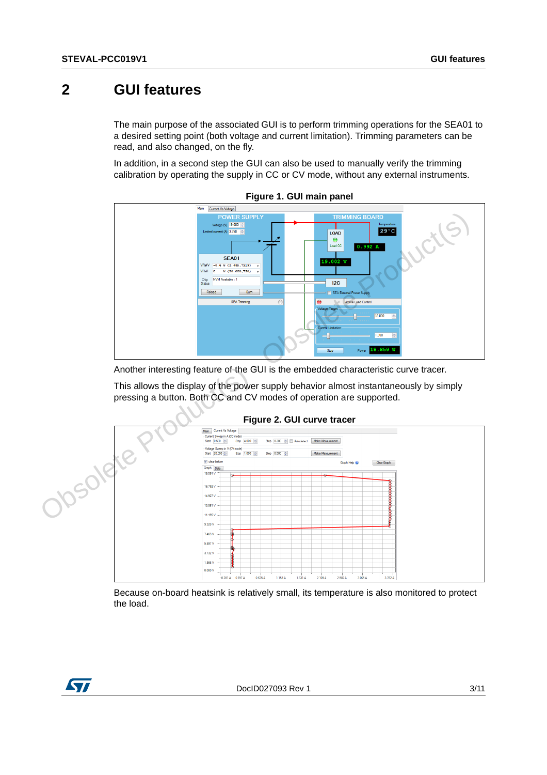### **2 GUI features**

The main purpose of the associated GUI is to perform trimming operations for the SEA01 to a desired setting point (both voltage and current limitation). Trimming parameters can be read, and also changed, on the fly.

In addition, in a second step the GUI can also be used to manually verify the trimming calibration by operating the supply in CC or CV mode, without any external instruments.





Another interesting feature of the GUI is the embedded characteristic curve tracer.

This allows the display of the power supply behavior almost instantaneously by simply pressing a button. Both CC and CV modes of operation are supported.



#### **Figure 2. GUI curve tracer**

Because on-board heatsink is relatively small, its temperature is also monitored to protect the load.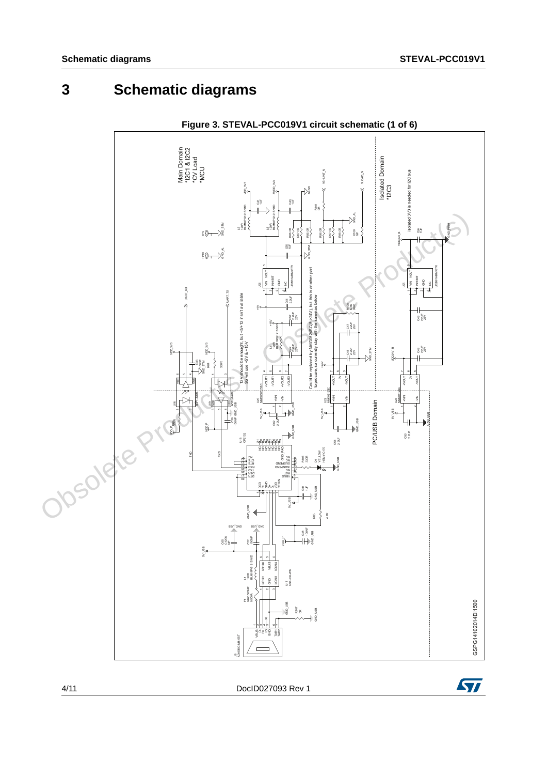## **3 Schematic diagrams**





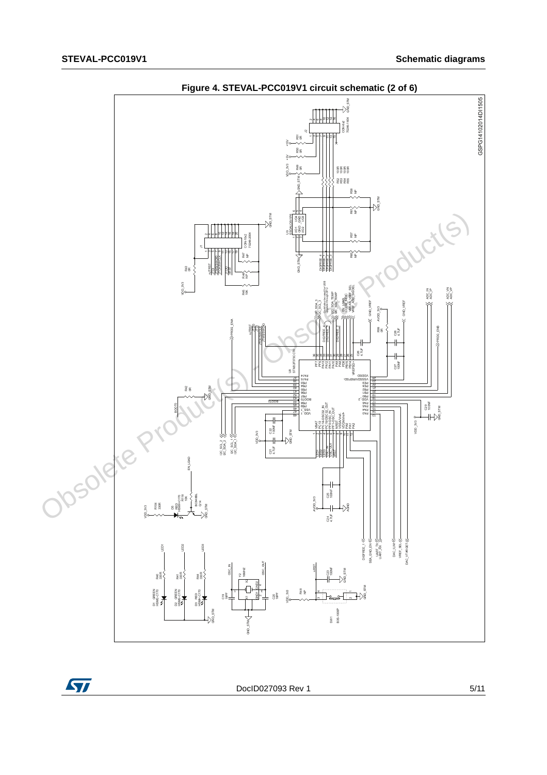





DocID027093 Rev 1 5/11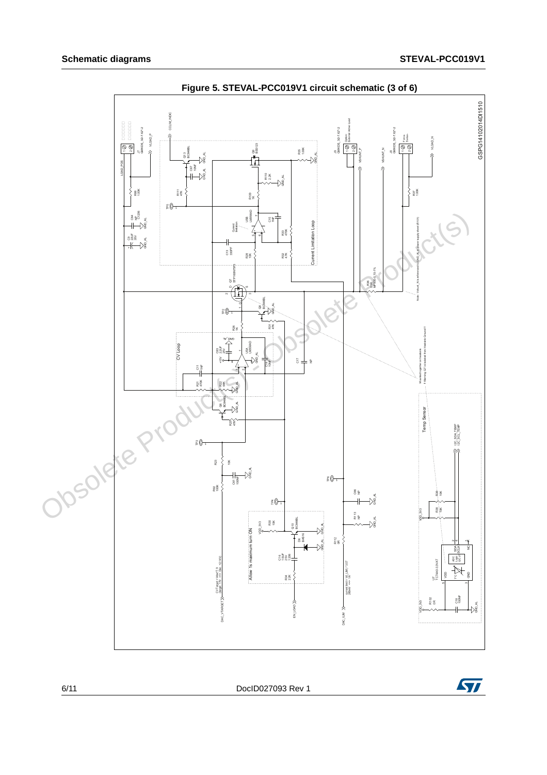

**Figure 5. STEVAL-PCC019V1 circuit schematic (3 of 6)** 



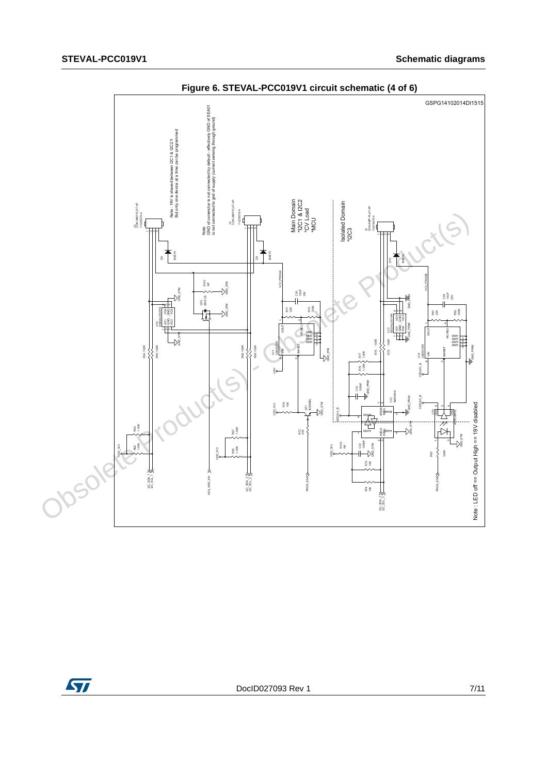

**Figure 6. STEVAL-PCC019V1 circuit schematic (4 of 6)**



DocID027093 Rev 1 7/11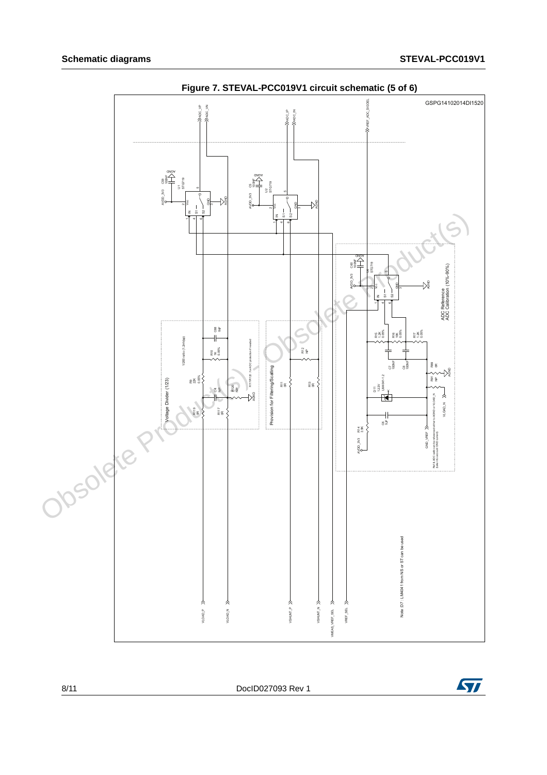

**Figure 7. STEVAL-PCC019V1 circuit schematic (5 of 6)**

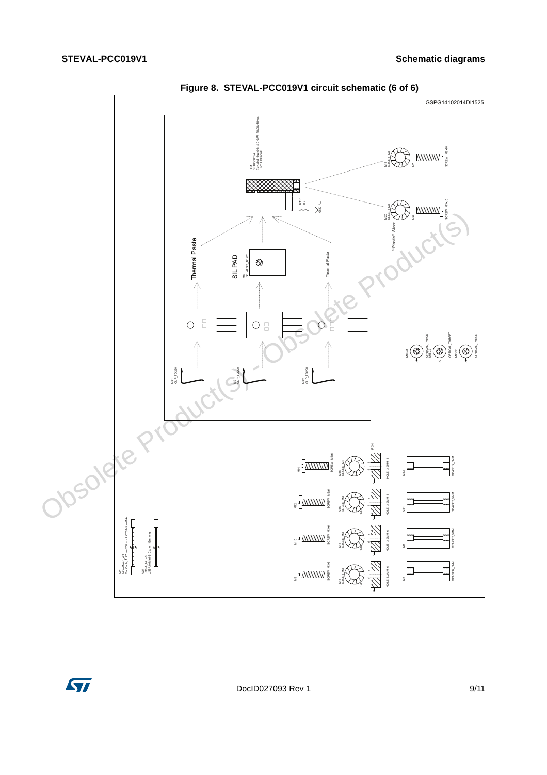

**Figure 8. STEVAL-PCC019V1 circuit schematic (6 of 6)**

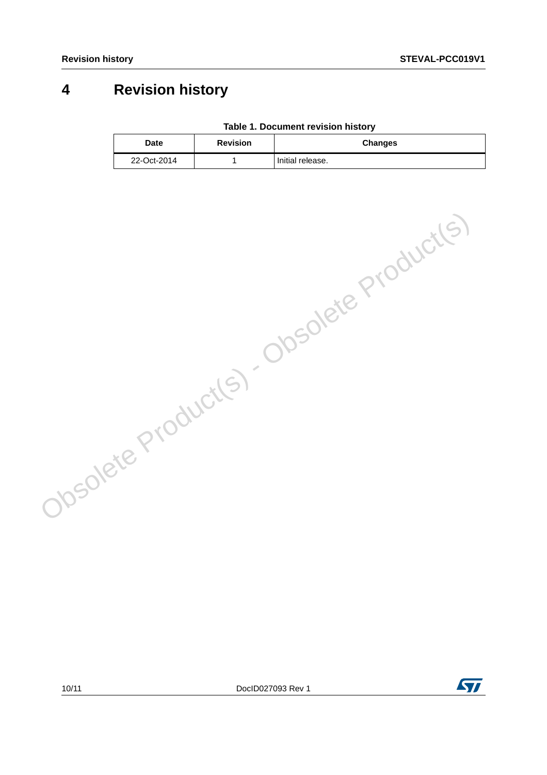# **4 Revision history**

|  | Table 1. Document revision history |  |  |
|--|------------------------------------|--|--|
|--|------------------------------------|--|--|

| Date        | <b>Revision</b> | <b>Changes</b>   |
|-------------|-----------------|------------------|
| 22-Oct-2014 |                 | Initial release. |

| Obsolete Product(s) - Obsolete Product(s) |  |
|-------------------------------------------|--|
|                                           |  |
|                                           |  |